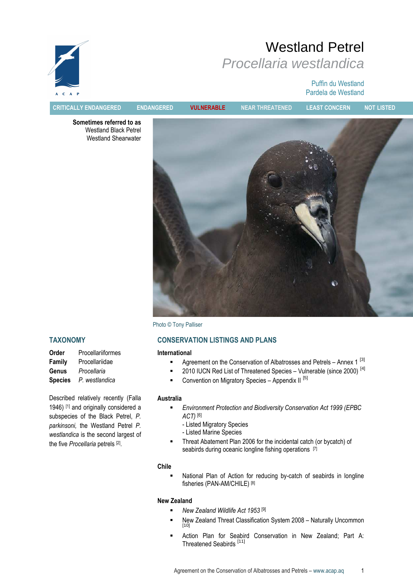

# Westland Petrel Procellaria westlandica

#### Puffin du Westland Pardela de Westland

CRITICALLY ENDANGERED ENDANGERED VULNERABLE NEAR THREATENED LEAST CONCERN NOT LISTED

Sometimes referred to as Westland Black Petrel Westland Shearwater



Photo © Tony Palliser

# CONSERVATION LISTINGS AND PLANS

#### International

- Agreement on the Conservation of Albatrosses and Petrels Annex 1<sup>[3]</sup>
- $\blacksquare$  2010 IUCN Red List of Threatened Species Vulnerable (since 2000)  $^{[4]}$
- Convention on Migratory Species Appendix II  $[5]$

#### Australia

- **Environment Protection and Biodiversity Conservation Act 1999 (EPBC** ACT) [6]
	- Listed Migratory Species
	- Listed Marine Species
- **Threat Abatement Plan 2006 for the incidental catch (or bycatch) of** seabirds during oceanic longline fishing operations [7]

#### Chile

 National Plan of Action for reducing by-catch of seabirds in longline fisheries (PAN-AM/CHILE) [8]

#### New Zealand

- $\blacksquare$  New Zealand Wildlife Act 1953 [9]
- New Zealand Threat Classification System 2008 Naturally Uncommon<br>[10]
- Action Plan for Seabird Conservation in New Zealand; Part A: Threatened Seabirds [11]

# TAXONOMY

OrderProcellariiformes FamilyProcellariidae GenusProcellaria SpeciesP. westlandica

Described relatively recently (Falla 1946) [1] and originally considered a subspecies of the Black Petrel, P. parkinsoni, the Westland Petrel P. westlandica is the second largest of the five Procellaria petrels [2].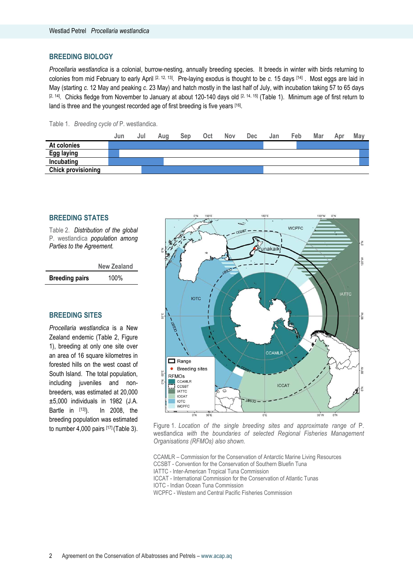#### BREEDING BIOLOGY

Procellaria westlandica is a colonial, burrow-nesting, annually breeding species. It breeds in winter with birds returning to colonies from mid February to early April  $[2, 12, 13]$ . Pre-laying exodus is thought to be c. 15 days  $[14]$ . Most eggs are laid in May (starting c. 12 May and peaking c. 23 May) and hatch mostly in the last half of July, with incubation taking 57 to 65 days  $[2, 14]$ . Chicks fledge from November to January at about 120-140 days old  $[2, 14, 15]$  (Table 1). Minimum age of first return to land is three and the youngest recorded age of first breeding is five years [16].

Table 1. Breeding cycle of P. westlandica.

|                           | Jun | Jul | Aua | Sep | Oct | Nov | <b>Dec</b> | Jan | Feb | Mar | Apr | May |
|---------------------------|-----|-----|-----|-----|-----|-----|------------|-----|-----|-----|-----|-----|
| At colonies               |     |     |     |     |     |     |            |     |     |     |     |     |
| <b>Egg laying</b>         |     |     |     |     |     |     |            |     |     |     |     |     |
| Incubating                |     |     |     |     |     |     |            |     |     |     |     |     |
| <b>Chick provisioning</b> |     |     |     |     |     |     |            |     |     |     |     |     |

#### BREEDING STATES

Table 2. Distribution of the global P. westlandica population among Parties to the Agreement.

New Zealand Breeding pairs 100%

#### BREEDING SITES

Procellaria westlandica is a New Zealand endemic (Table 2, Figure 1), breeding at only one site over an area of 16 square kilometres in forested hills on the west coast of South Island. The total population, including juveniles and nonbreeders, was estimated at 20,000 ±5,000 individuals in 1982 (J.A. Bartle in [13]). In 2008, the breeding population was estimated



to number 4,000 pairs [17] (Table 3). Figure 1. Location of the single breeding sites and approximate range of P. westlandica with the boundaries of selected Regional Fisheries Management Organisations (RFMOs) also shown.

CCAMLR – Commission for the Conservation of Antarctic Marine Living Resources CCSBT - Convention for the Conservation of Southern Bluefin Tuna IATTC - Inter-American Tropical Tuna Commission ICCAT - International Commission for the Conservation of Atlantic Tunas IOTC - Indian Ocean Tuna Commission WCPFC - Western and Central Pacific Fisheries Commission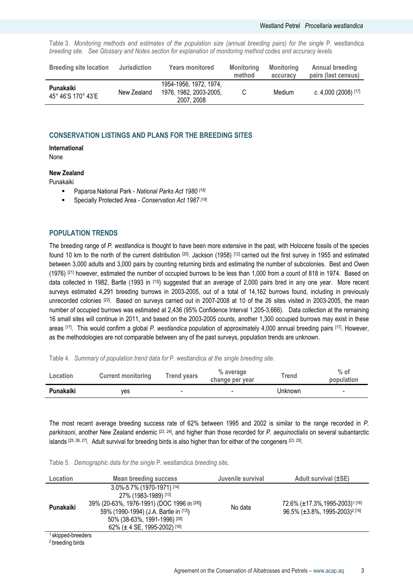Table 3. Monitoring methods and estimates of the population size (annual breeding pairs) for the single P. westlandica breeding site. See Glossary and Notes section for explanation of monitoring method codes and accuracy levels.

| <b>Breeding site location</b>   | <b>Jurisdiction</b> | <b>Years monitored</b>                                        | <b>Monitoring</b><br>method | Monitoring<br>accuracy | <b>Annual breeding</b><br>pairs (last census) |
|---------------------------------|---------------------|---------------------------------------------------------------|-----------------------------|------------------------|-----------------------------------------------|
| Punakaiki<br>45° 46'S 170° 43'E | New Zealand         | 1954-1956, 1972, 1974,<br>1976, 1982, 2003-2005,<br>2007.2008 |                             | Medium                 | c. 4,000 (2008) [17]                          |

#### CONSERVATION LISTINGS AND PLANS FOR THE BREEDING SITES

#### International

None

#### New Zealand

Punakaiki

- Paparoa National Park National Parks Act 1980 [18]
- **Specially Protected Area Conservation Act 1987** [19]

#### POPULATION TRENDS

The breeding range of P. westlandica is thought to have been more extensive in the past, with Holocene fossils of the species found 10 km to the north of the current distribution [20]. Jackson (1958) [12] carried out the first survey in 1955 and estimated between 3,000 adults and 3,000 pairs by counting returning birds and estimating the number of subcolonies. Best and Owen (1976) [21] however, estimated the number of occupied burrows to be less than 1,000 from a count of 818 in 1974. Based on data collected in 1982, Bartle (1993 in [13]) suggested that an average of 2,000 pairs bred in any one year. More recent surveys estimated 4,291 breeding burrows in 2003-2005, out of a total of 14,162 burrows found, including in previously unrecorded colonies [22]. Based on surveys carried out in 2007-2008 at 10 of the 26 sites visited in 2003-2005, the mean number of occupied burrows was estimated at 2,436 (95% Confidence Interval 1,205-3,666). Data collection at the remaining 16 small sites will continue in 2011, and based on the 2003-2005 counts, another 1,300 occupied burrows may exist in these areas [17]. This would confirm a global P. westlandica population of approximately 4,000 annual breeding pairs [17]. However, as the methodologies are not comparable between any of the past surveys, population trends are unknown.

Table 4. Summary of population trend data for P. westlandica at the single breeding site.

| Location  | <b>Current monitoring</b> | <b>Trend years</b> | % average<br>change per year | Trend   | $%$ of<br>population |
|-----------|---------------------------|--------------------|------------------------------|---------|----------------------|
| Punakaiki | ves                       | $\blacksquare$     | -                            | Unknown | -                    |

The most recent average breeding success rate of 62% between 1995 and 2002 is similar to the range recorded in P. parkinsoni, another New Zealand endemic [23, 24], and higher than those recorded for P. aequinoctialis on several subantarctic islands [25, 26, 27]. Adult survival for breeding birds is also higher than for either of the congeners [23, 25] .

Table 5. Demographic data for the single P. westlandica breeding site.

| Location                      | <b>Mean breeding success</b>                                                                                                                                                                                   | Juvenile survival | Adult survival (±SE)                                                                     |
|-------------------------------|----------------------------------------------------------------------------------------------------------------------------------------------------------------------------------------------------------------|-------------------|------------------------------------------------------------------------------------------|
| Punakaiki                     | 3.0%-5.7% (1970-1971) [14]<br>27% (1983-1989) [13]<br>39% (20-63%, 1976-1991) (DOC 1996 in [28])<br>59% (1990-1994) (J.A. Bartle in [13])<br>50% (38-63%, 1991-1996) [28]<br>62% ( $\pm$ 4 SE, 1995-2002) [16] | No data           | 72.6% (±17.3%, 1995-2003) <sup>1[16]</sup><br>96.5% (±3.8%, 1995-2003) <sup>2 [16]</sup> |
| <sup>1</sup> skipped-breeders |                                                                                                                                                                                                                |                   |                                                                                          |

2 breeding birds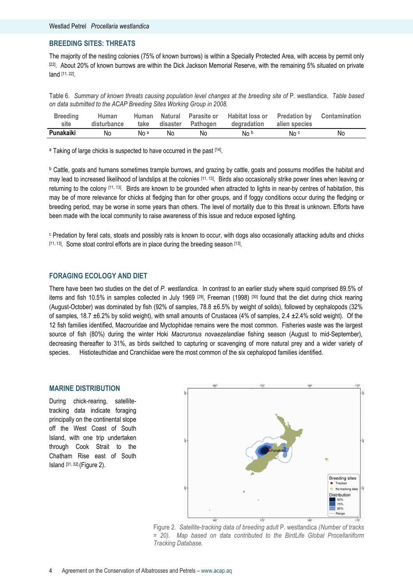#### BREEDING SITES: THREATS

The majority of the nesting colonies (75% of known burrows) is within a Specially Protected Area, with access by permit only [22]. About 20% of known burrows are within the Dick Jackson Memorial Reserve, with the remaining 5% situated on private land [11, 22] .

Table 6. Summary of known threats causing population level changes at the breeding site of P. westlandica. Table based on data submitted to the ACAP Breeding Sites Working Group in 2008.

| <b>Breeding</b> | Human       | Human |     |                        | Natural Parasite or Habitat loss or Predation by Contamination |                 |     |
|-----------------|-------------|-------|-----|------------------------|----------------------------------------------------------------|-----------------|-----|
| site            | disturbance |       |     | take disaster Pathogen | degradation                                                    | alien species   |     |
| Punakaiki       | No.         | No a  | No. | No.                    | No b                                                           | No <sup>c</sup> | No. |

<sup>a</sup> Taking of large chicks is suspected to have occurred in the past <sup>[14]</sup>.

b Cattle, goats and humans sometimes trample burrows, and grazing by cattle, goats and possums modifies the habitat and may lead to increased likelihood of landslips at the colonies [11, 13]. Birds also occasionally strike power lines when leaving or returning to the colony [11, 13]. Birds are known to be grounded when attracted to lights in near-by centres of habitation, this may be of more relevance for chicks at fledging than for other groups, and if foggy conditions occur during the fledging or breeding period, may be worse in some years than others. The level of mortality due to this threat is unknown. Efforts have been made with the local community to raise awareness of this issue and reduce exposed lighting.

c Predation by feral cats, stoats and possibly rats is known to occur, with dogs also occasionally attacking adults and chicks [11, 13]. Some stoat control efforts are in place during the breeding season [13].

#### FORAGING ECOLOGY AND DIET

There have been two studies on the diet of P. westlandica. In contrast to an earlier study where squid comprised 89.5% of items and fish 10.5% in samples collected in July 1969 [29], Freeman (1998) [30] found that the diet during chick rearing (August-October) was dominated by fish (92% of samples, 78.8 ±6.5% by weight of solids), followed by cephalopods (32% of samples, 18.7 ±6.2% by solid weight), with small amounts of Crustacea (4% of samples, 2.4 ±2.4% solid weight). Of the 12 fish families identified, Macrouridae and Myctophidae remains were the most common. Fisheries waste was the largest source of fish (80%) during the winter Hoki Macruronus novaezelandiae fishing season (August to mid-September), decreasing thereafter to 31%, as birds switched to capturing or scavenging of more natural prey and a wider variety of species. Histioteuthidae and Cranchiidae were the most common of the six cephalopod families identified.

#### MARINE DISTRIBUTION

During chick-rearing, satellitetracking data indicate foraging principally on the continental slope off the West Coast of South Island, with one trip undertaken through Cook Strait to the Chatham Rise east of South Island [31, 32] (Figure 2).



Figure 2. Satellite-tracking data of breeding adult P. westlandica (Number of tracks = 20). Map based on data contributed to the BirdLife Global Procellariiform Tracking Database.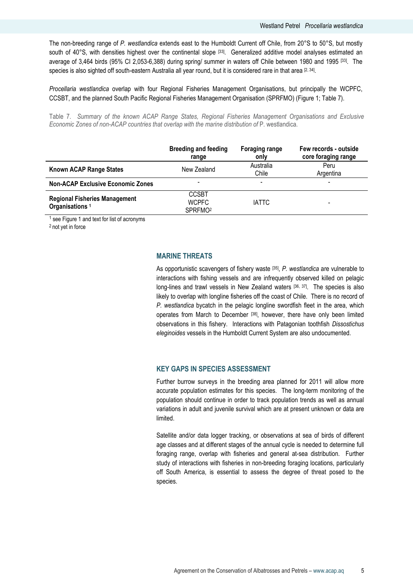The non-breeding range of P. westlandica extends east to the Humboldt Current off Chile, from 20°S to 50°S, but mostly south of 40°S, with densities highest over the continental slope  $[33]$ . Generalized additive model analyses estimated an average of 3,464 birds (95% CI 2,053-6,388) during spring/ summer in waters off Chile between 1980 and 1995 [33]. The species is also sighted off south-eastern Australia all year round, but it is considered rare in that area <sup>[2, 34]</sup>.

Procellaria westlandica overlap with four Regional Fisheries Management Organisations, but principally the WCPFC, CCSBT, and the planned South Pacific Regional Fisheries Management Organisation (SPRFMO) (Figure 1; Table 7).

Table 7. Summary of the known ACAP Range States, Regional Fisheries Management Organisations and Exclusive Economic Zones of non-ACAP countries that overlap with the marine distribution of P. westlandica.

|                                                                    | <b>Breeding and feeding</b><br>range                | <b>Foraging range</b><br>only | Few records - outside<br>core foraging range |
|--------------------------------------------------------------------|-----------------------------------------------------|-------------------------------|----------------------------------------------|
| Known ACAP Range States                                            | New Zealand                                         | Australia<br>Chile            | Peru<br>Argentina                            |
| <b>Non-ACAP Exclusive Economic Zones</b>                           |                                                     | ٠                             |                                              |
| <b>Regional Fisheries Management</b><br>Organisations <sup>1</sup> | <b>CCSBT</b><br><b>WCPFC</b><br>SPRFMO <sup>2</sup> | <b>IATTC</b>                  |                                              |

<sup>1</sup> see Figure 1 and text for list of acronyms

<sup>2</sup>not yet in force

### MARINE THREATS

As opportunistic scavengers of fishery waste [35], P. westlandica are vulnerable to interactions with fishing vessels and are infrequently observed killed on pelagic long-lines and trawl vessels in New Zealand waters [36, 37]. The species is also likely to overlap with longline fisheries off the coast of Chile. There is no record of P. westlandica bycatch in the pelagic longline swordfish fleet in the area, which operates from March to December [38], however, there have only been limited observations in this fishery. Interactions with Patagonian toothfish Dissostichus eleginoides vessels in the Humboldt Current System are also undocumented.

#### KEY GAPS IN SPECIES ASSESSMENT

Further burrow surveys in the breeding area planned for 2011 will allow more accurate population estimates for this species. The long-term monitoring of the population should continue in order to track population trends as well as annual variations in adult and juvenile survival which are at present unknown or data are limited.

Satellite and/or data logger tracking, or observations at sea of birds of different age classes and at different stages of the annual cycle is needed to determine full foraging range, overlap with fisheries and general at-sea distribution. Further study of interactions with fisheries in non-breeding foraging locations, particularly off South America, is essential to assess the degree of threat posed to the species.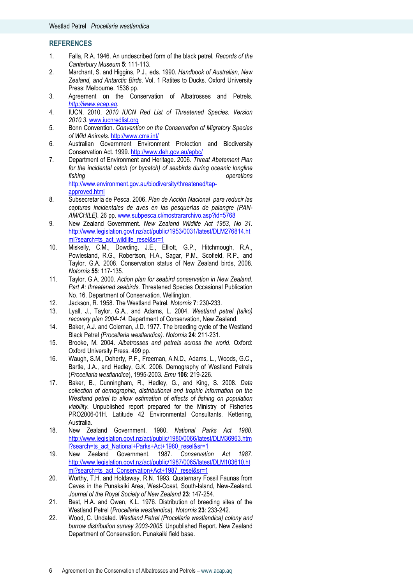#### **REFERENCES**

- 1. Falla, R.A. 1946. An undescribed form of the black petrel. Records of the Canterbury Museum 5: 111-113.
- 2. Marchant, S. and Higgins, P.J., eds. 1990. Handbook of Australian, New Zealand, and Antarctic Birds. Vol. 1 Ratites to Ducks. Oxford University Press: Melbourne. 1536 pp.
- 3. Agreement on the Conservation of Albatrosses and Petrels. http://www.acap.aq.
- 4. IUCN. 2010. 2010 IUCN Red List of Threatened Species. Version 2010.3. www.iucnredlist.org
- 5. Bonn Convention. Convention on the Conservation of Migratory Species of Wild Animals. http://www.cms.int/
- 6. Australian Government Environment Protection and Biodiversity Conservation Act. 1999. http://www.deh.gov.au/epbc/
- 7. Department of Environment and Heritage. 2006. Threat Abatement Plan for the incidental catch (or bycatch) of seabirds during oceanic longline fishing operations operations http://www.environment.gov.au/biodiversity/threatened/tapapproved.html
- 8. Subsecretaría de Pesca. 2006. Plan de Acción Nacional para reducir las capturas incidentales de aves en las pesquerías de palangre (PAN-AM/CHILE). 26 pp. www.subpesca.cl/mostrararchivo.asp?id=5768
- 9. New Zealand Government. New Zealand Wildlife Act 1953, No 31. http://www.legislation.govt.nz/act/public/1953/0031/latest/DLM276814.ht ml?search=ts\_act\_wildlife\_resel&sr=1
- 10. Miskelly, C.M., Dowding, J.E., Elliott, G.P., Hitchmough, R.A., Powlesland, R.G., Robertson, H.A., Sagar, P.M., Scofield, R.P., and Taylor, G.A. 2008. Conservation status of New Zealand birds, 2008. Notornis 55: 117-135.
- 11. Taylor, G.A. 2000. Action plan for seabird conservation in New Zealand. Part A: threatened seabirds. Threatened Species Occasional Publication No. 16. Department of Conservation. Wellington.
- 12. Jackson, R. 1958. The Westland Petrel. Notornis 7: 230-233.
- 13. Lyall, J., Taylor, G.A., and Adams, L. 2004. Westland petrel (taiko) recovery plan 2004-14. Department of Conservation, New Zealand.
- 14. Baker, A.J. and Coleman, J.D. 1977. The breeding cycle of the Westland Black Petrel (Procellaria westlandica). Notornis 24: 211-231.
- 15. Brooke, M. 2004. Albatrosses and petrels across the world. Oxford: Oxford University Press. 499 pp.
- 16. Waugh, S.M., Doherty, P.F., Freeman, A.N.D., Adams, L., Woods, G.C., Bartle, J.A., and Hedley, G.K. 2006. Demography of Westland Petrels (Procellaria westlandica), 1995-2003. Emu 106: 219-226.
- 17. Baker, B., Cunningham, R., Hedley, G., and King, S. 2008. Data collection of demographic, distributional and trophic information on the Westland petrel to allow estimation of effects of fishing on population viability. Unpublished report prepared for the Ministry of Fisheries PRO2006-01H. Latitude 42 Environmental Consultants. Kettering, Australia.
- 18. New Zealand Government. 1980. National Parks Act 1980. http://www.legislation.govt.nz/act/public/1980/0066/latest/DLM36963.htm l?search=ts\_act\_National+Parks+Act+1980\_resel&sr=1
- 19. New Zealand Government. 1987. Conservation Act 1987. http://www.legislation.govt.nz/act/public/1987/0065/latest/DLM103610.ht ml?search=ts\_act\_Conservation+Act+1987\_resel&sr=1
- 20. Worthy, T.H. and Holdaway, R.N. 1993. Quaternary Fossil Faunas from Caves in the Punakaiki Area, West-Coast, South-Island, New-Zealand. Journal of the Royal Society of New Zealand 23: 147-254.
- 21. Best, H.A. and Owen, K.L. 1976. Distribution of breeding sites of the Westland Petrel (Procellaria westlandica). Notornis 23: 233-242.
- 22. Wood, C. Undated. Westland Petrel (Procellaria westlandica) colony and burrow distribution survey 2003-2005. Unpublished Report. New Zealand Department of Conservation. Punakaiki field base.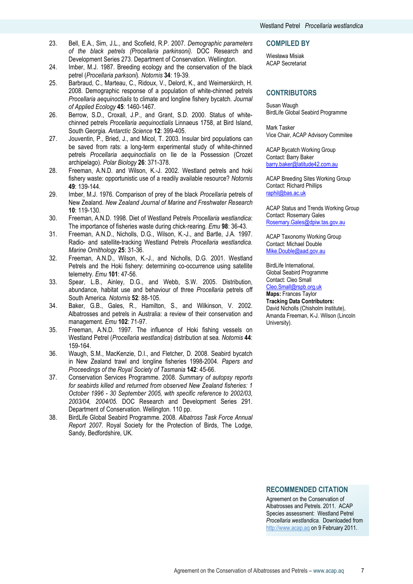- 23. Bell, E.A., Sim, J.L., and Scofield, R.P. 2007. Demographic parameters of the black petrels (Procellaria parkinsoni). DOC Research and Development Series 273. Department of Conservation. Wellington.
- 24. Imber, M.J. 1987. Breeding ecology and the conservation of the black petrel (Procellaria parksoni). Notornis 34: 19-39.
- 25. Barbraud, C., Marteau, C., Ridoux, V., Delord, K., and Weimerskirch, H. 2008. Demographic response of a population of white-chinned petrels Procellaria aequinoctialis to climate and longline fishery bycatch. Journal of Applied Ecology 45: 1460-1467.
- 26. Berrow, S.D., Croxall, J.P., and Grant, S.D. 2000. Status of whitechinned petrels Procellaria aequinoctialis Linnaeus 1758, at Bird Island, South Georgia. Antarctic Science 12: 399-405.
- 27. Jouventin, P., Bried, J., and Micol, T. 2003. Insular bird populations can be saved from rats: a long-term experimental study of white-chinned petrels Procellaria aequinoctialis on Ile de la Possession (Crozet archipelago). Polar Biology 26: 371-378.
- 28. Freeman, A.N.D. and Wilson, K.-J. 2002. Westland petrels and hoki fishery waste: opportunistic use of a readily available resource? Notornis 49: 139-144.
- 29. Imber, M.J. 1976. Comparison of prey of the black Procellaria petrels of New Zealand. New Zealand Journal of Marine and Freshwater Research 10: 119-130.
- 30. Freeman, A.N.D. 1998. Diet of Westland Petrels Procellaria westlandica: The importance of fisheries waste during chick-rearing. Emu 98: 36-43.
- 31. Freeman, A.N.D., Nicholls, D.G., Wilson, K.-J., and Bartle, J.A. 1997. Radio- and satellite-tracking Westland Petrels Procellaria westlandica. Marine Ornithology 25: 31-36.
- 32. Freeman, A.N.D., Wilson, K.-J., and Nicholls, D.G. 2001. Westland Petrels and the Hoki fishery: determining co-occurrence using satellite telemetry. Emu 101: 47-56.
- 33. Spear, L.B., Ainley, D.G., and Webb, S.W. 2005. Distribution, abundance, habitat use and behaviour of three Procellaria petrels off South America. Notornis 52: 88-105.
- 34. Baker, G.B., Gales, R., Hamilton, S., and Wilkinson, V. 2002. Albatrosses and petrels in Australia: a review of their conservation and management. Emu 102: 71-97.
- 35. Freeman, A.N.D. 1997. The influence of Hoki fishing vessels on Westland Petrel (Procellaria westlandica) distribution at sea. Notornis 44: 159-164.
- 36. Waugh, S.M., MacKenzie, D.I., and Fletcher, D. 2008. Seabird bycatch in New Zealand trawl and longline fisheries 1998-2004. Papers and Proceedings of the Royal Society of Tasmania 142: 45-66.
- 37. Conservation Services Programme. 2008. Summary of autopsy reports for seabirds killed and returned from observed New Zealand fisheries: 1 October 1996 - 30 September 2005, with specific reference to 2002/03, 2003/04, 2004/05. DOC Research and Development Series 291. Department of Conservation. Wellington. 110 pp.
- 38. BirdLife Global Seabird Programme. 2008. Albatross Task Force Annual Report 2007. Royal Society for the Protection of Birds, The Lodge, Sandy, Bedfordshire, UK.

#### COMPILED BY

Wiesława Misiak ACAP Secretariat

#### **CONTRIBUTORS**

Susan Waugh BirdLife Global Seabird Programme

Mark Tasker Vice Chair, ACAP Advisory Commitee

ACAP Bycatch Working Group Contact: Barry Baker barry.baker@latitude42.com.au

ACAP Breeding Sites Working Group Contact: Richard Phillips raphil@bas.ac.uk

ACAP Status and Trends Working Group Contact: Rosemary Gales Rosemary.Gales@dpiw.tas.gov.au

ACAP Taxonomy Working Group Contact: Michael Double Mike.Double@aad.gov.au

BirdLife International, Global Seabird Programme Contact: Cleo Small

Cleo.Small@rspb.org.uk Maps: Frances Taylor Tracking Data Contributors: David Nicholls (Chisholm Institute), Amanda Freeman, K-J. Wilson (Lincoln University).

## RECOMMENDED CITATION

Agreement on the Conservation of Albatrosses and Petrels. 2011. ACAP Species assessment: Westland Petrel Procellaria westlandica. Downloaded from http://www.acap.aq on 9 February 2011.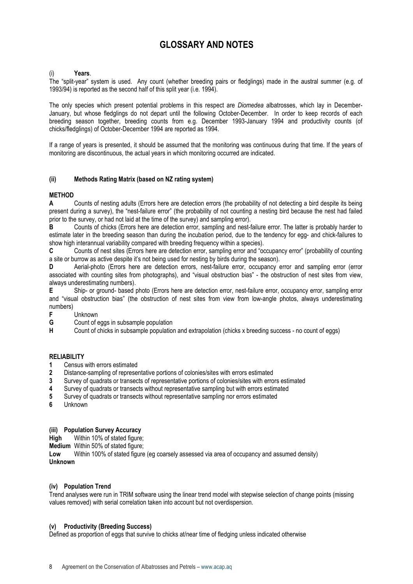# GLOSSARY AND NOTES

#### Years.

The "split-year" system is used. Any count (whether breeding pairs or fledglings) made in the austral summer (e.g. of 1993/94) is reported as the second half of this split year (i.e. 1994).

The only species which present potential problems in this respect are *Diomedea* albatrosses, which lay in December-January, but whose fledglings do not depart until the following October-December. In order to keep records of each breeding season together, breeding counts from e.g. December 1993-January 1994 and productivity counts (of chicks/fledglings) of October-December 1994 are reported as 1994.

If a range of years is presented, it should be assumed that the monitoring was continuous during that time. If the years of monitoring are discontinuous, the actual years in which monitoring occurred are indicated.

#### (ii) Methods Rating Matrix (based on NZ rating system)

#### **METHOD**

A Counts of nesting adults (Errors here are detection errors (the probability of not detecting a bird despite its being present during a survey), the "nest-failure error" (the probability of not counting a nesting bird because the nest had failed prior to the survey, or had not laid at the time of the survey) and sampling error).

B Counts of chicks (Errors here are detection error, sampling and nest-failure error. The latter is probably harder to estimate later in the breeding season than during the incubation period, due to the tendency for egg- and chick-failures to show high interannual variability compared with breeding frequency within a species).

C Counts of nest sites (Errors here are detection error, sampling error and "occupancy error" (probability of counting a site or burrow as active despite it's not being used for nesting by birds during the season).

D Aerial-photo (Errors here are detection errors, nest-failure error, occupancy error and sampling error (error associated with counting sites from photographs), and "visual obstruction bias" - the obstruction of nest sites from view, always underestimating numbers).

E Ship- or ground- based photo (Errors here are detection error, nest-failure error, occupancy error, sampling error and "visual obstruction bias" (the obstruction of nest sites from view from low-angle photos, always underestimating numbers)

- Unknown
- G Count of eggs in subsample population

H Count of chicks in subsample population and extrapolation (chicks x breeding success - no count of eggs)

#### RELIABILITY

- 1 Census with errors estimated<br>2 Distance-sampling of represe
- 2 Distance-sampling of representative portions of colonies/sites with errors estimated
- 3 Survey of quadrats or transects of representative portions of colonies/sites with errors estimated
- 4 Survey of quadrats or transects without representative sampling but with errors estimated
- 5 Survey of quadrats or transects without representative sampling nor errors estimated
- 6 Unknown

#### (iii) Population Survey Accuracy

High Within 10% of stated figure;

Medium Within 50% of stated figure;

Low Within 100% of stated figure (eg coarsely assessed via area of occupancy and assumed density) Unknown

#### (iv) Population Trend

Trend analyses were run in TRIM software using the linear trend model with stepwise selection of change points (missing values removed) with serial correlation taken into account but not overdispersion.

#### (v) Productivity (Breeding Success)

Defined as proportion of eggs that survive to chicks at/near time of fledging unless indicated otherwise